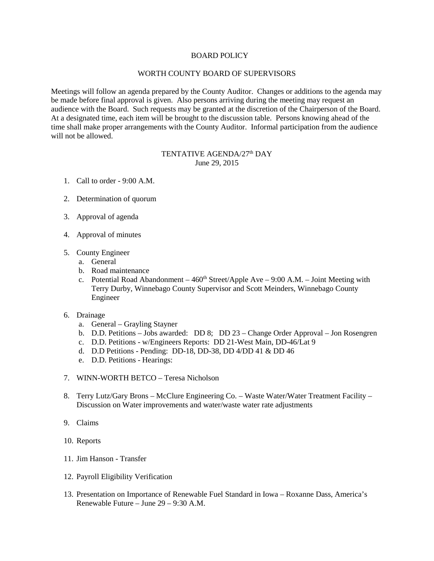## BOARD POLICY

## WORTH COUNTY BOARD OF SUPERVISORS

Meetings will follow an agenda prepared by the County Auditor. Changes or additions to the agenda may be made before final approval is given. Also persons arriving during the meeting may request an audience with the Board. Such requests may be granted at the discretion of the Chairperson of the Board. At a designated time, each item will be brought to the discussion table. Persons knowing ahead of the time shall make proper arrangements with the County Auditor. Informal participation from the audience will not be allowed.

## TENTATIVE AGENDA/27<sup>th</sup> DAY June 29, 2015

- 1. Call to order 9:00 A.M.
- 2. Determination of quorum
- 3. Approval of agenda
- 4. Approval of minutes
- 5. County Engineer
	- a. General
	- b. Road maintenance
	- c. Potential Road Abandonment  $460<sup>th</sup> Street/Apple Ave 9:00 A.M.$  Joint Meeting with Terry Durby, Winnebago County Supervisor and Scott Meinders, Winnebago County Engineer
- 6. Drainage
	- a. General Grayling Stayner
	- b. D.D. Petitions Jobs awarded: DD 8; DD 23 Change Order Approval Jon Rosengren
	- c. D.D. Petitions w/Engineers Reports: DD 21-West Main, DD-46/Lat 9
	- d. D.D Petitions Pending: DD-18, DD-38, DD 4/DD 41 & DD 46
	- e. D.D. Petitions Hearings:
- 7. WINN-WORTH BETCO Teresa Nicholson
- 8. Terry Lutz/Gary Brons McClure Engineering Co. Waste Water/Water Treatment Facility Discussion on Water improvements and water/waste water rate adjustments
- 9. Claims
- 10. Reports
- 11. Jim Hanson Transfer
- 12. Payroll Eligibility Verification
- 13. Presentation on Importance of Renewable Fuel Standard in Iowa Roxanne Dass, America's Renewable Future – June 29 – 9:30 A.M.